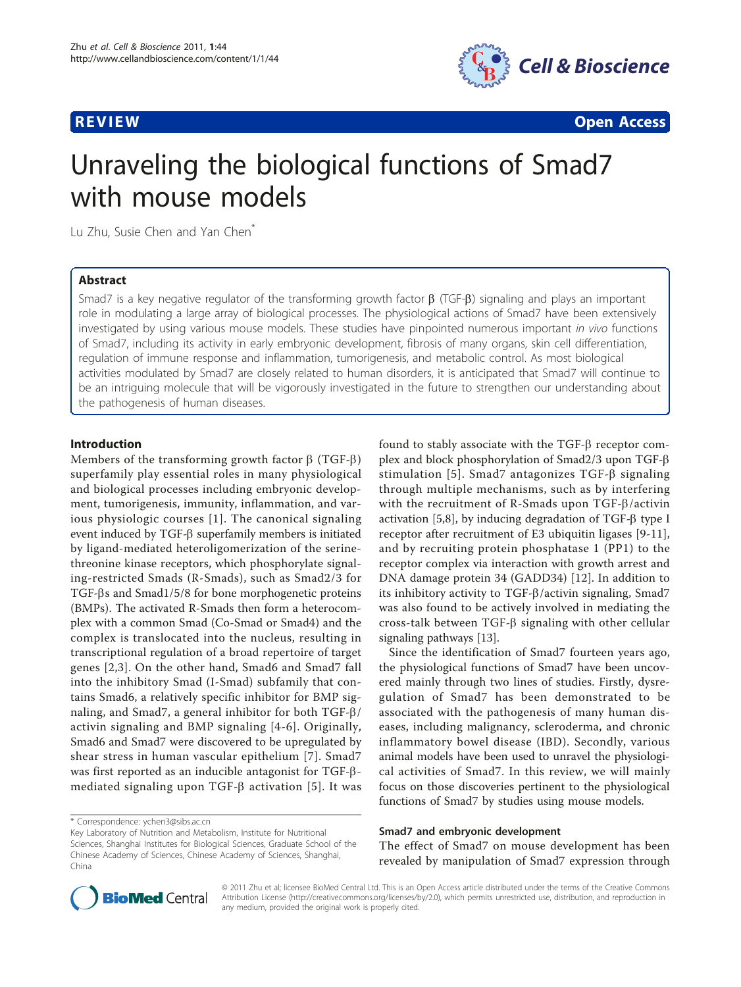

**REVIEW CONSTRUCTION CONSTRUCTION CONSTRUCTS** 

# Unraveling the biological functions of Smad7 with mouse models

Lu Zhu, Susie Chen and Yan Chen<sup>\*</sup>

# Abstract

Smad7 is a key negative regulator of the transforming growth factor  $\beta$  (TGF- $\beta$ ) signaling and plays an important role in modulating a large array of biological processes. The physiological actions of Smad7 have been extensively investigated by using various mouse models. These studies have pinpointed numerous important in vivo functions of Smad7, including its activity in early embryonic development, fibrosis of many organs, skin cell differentiation, regulation of immune response and inflammation, tumorigenesis, and metabolic control. As most biological activities modulated by Smad7 are closely related to human disorders, it is anticipated that Smad7 will continue to be an intriguing molecule that will be vigorously investigated in the future to strengthen our understanding about the pathogenesis of human diseases.

# Introduction

Members of the transforming growth factor  $\beta$  (TGF- $\beta$ ) superfamily play essential roles in many physiological and biological processes including embryonic development, tumorigenesis, immunity, inflammation, and various physiologic courses [[1](#page-4-0)]. The canonical signaling event induced by  $TGF-\beta$  superfamily members is initiated by ligand-mediated heteroligomerization of the serinethreonine kinase receptors, which phosphorylate signaling-restricted Smads (R-Smads), such as Smad2/3 for TGF-bs and Smad1/5/8 for bone morphogenetic proteins (BMPs). The activated R-Smads then form a heterocomplex with a common Smad (Co-Smad or Smad4) and the complex is translocated into the nucleus, resulting in transcriptional regulation of a broad repertoire of target genes [[2](#page-4-0),[3\]](#page-4-0). On the other hand, Smad6 and Smad7 fall into the inhibitory Smad (I-Smad) subfamily that contains Smad6, a relatively specific inhibitor for BMP signaling, and Smad7, a general inhibitor for both TGF-b/ activin signaling and BMP signaling [[4](#page-4-0)-[6](#page-4-0)]. Originally, Smad6 and Smad7 were discovered to be upregulated by shear stress in human vascular epithelium [\[7\]](#page-4-0). Smad7 was first reported as an inducible antagonist for TGF-bmediated signaling upon TGF- $\beta$  activation [[5](#page-4-0)]. It was

\* Correspondence: [ychen3@sibs.ac.cn](mailto:ychen3@sibs.ac.cn)

found to stably associate with the  $TGF-\beta$  receptor complex and block phosphorylation of Smad2/3 upon TGF-b stimulation [\[5\]](#page-4-0). Smad7 antagonizes TGF- $\beta$  signaling through multiple mechanisms, such as by interfering with the recruitment of R-Smads upon TGF- $\beta$ /activin activation  $[5,8]$  $[5,8]$ , by inducing degradation of TGF- $\beta$  type I receptor after recruitment of E3 ubiquitin ligases [[9-11](#page-4-0)], and by recruiting protein phosphatase 1 (PP1) to the receptor complex via interaction with growth arrest and DNA damage protein 34 (GADD34) [\[12](#page-4-0)]. In addition to its inhibitory activity to TGF- $\beta$ /activin signaling, Smad7 was also found to be actively involved in mediating the cross-talk between  $TGF-\beta$  signaling with other cellular signaling pathways [[13](#page-4-0)].

Since the identification of Smad7 fourteen years ago, the physiological functions of Smad7 have been uncovered mainly through two lines of studies. Firstly, dysregulation of Smad7 has been demonstrated to be associated with the pathogenesis of many human diseases, including malignancy, scleroderma, and chronic inflammatory bowel disease (IBD). Secondly, various animal models have been used to unravel the physiological activities of Smad7. In this review, we will mainly focus on those discoveries pertinent to the physiological functions of Smad7 by studies using mouse models.

### Smad7 and embryonic development

The effect of Smad7 on mouse development has been revealed by manipulation of Smad7 expression through



© 2011 Zhu et al; licensee BioMed Central Ltd. This is an Open Access article distributed under the terms of the Creative Commons Attribution License [\(http://creativecommons.org/licenses/by/2.0](http://creativecommons.org/licenses/by/2.0)), which permits unrestricted use, distribution, and reproduction in any medium, provided the original work is properly cited.

Key Laboratory of Nutrition and Metabolism, Institute for Nutritional Sciences, Shanghai Institutes for Biological Sciences, Graduate School of the Chinese Academy of Sciences, Chinese Academy of Sciences, Shanghai, China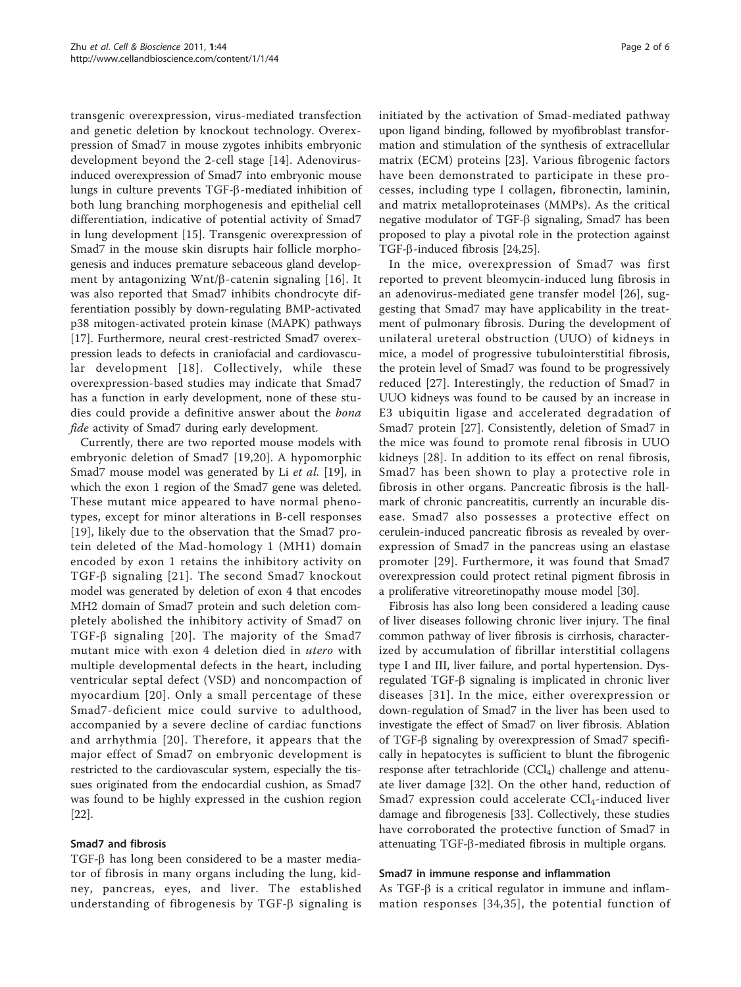transgenic overexpression, virus-mediated transfection and genetic deletion by knockout technology. Overexpression of Smad7 in mouse zygotes inhibits embryonic development beyond the 2-cell stage [[14\]](#page-4-0). Adenovirusinduced overexpression of Smad7 into embryonic mouse lungs in culture prevents TGF-b-mediated inhibition of both lung branching morphogenesis and epithelial cell differentiation, indicative of potential activity of Smad7 in lung development [\[15](#page-4-0)]. Transgenic overexpression of Smad7 in the mouse skin disrupts hair follicle morphogenesis and induces premature sebaceous gland development by antagonizing  $Wnt/\beta$ -catenin signaling [[16\]](#page-4-0). It was also reported that Smad7 inhibits chondrocyte differentiation possibly by down-regulating BMP-activated p38 mitogen-activated protein kinase (MAPK) pathways [[17\]](#page-4-0). Furthermore, neural crest-restricted Smad7 overexpression leads to defects in craniofacial and cardiovascular development [\[18](#page-4-0)]. Collectively, while these overexpression-based studies may indicate that Smad7 has a function in early development, none of these studies could provide a definitive answer about the bona fide activity of Smad7 during early development.

Currently, there are two reported mouse models with embryonic deletion of Smad7 [[19](#page-4-0),[20](#page-4-0)]. A hypomorphic Smad7 mouse model was generated by Li et al. [[19\]](#page-4-0), in which the exon 1 region of the Smad7 gene was deleted. These mutant mice appeared to have normal phenotypes, except for minor alterations in B-cell responses [[19](#page-4-0)], likely due to the observation that the Smad7 protein deleted of the Mad-homology 1 (MH1) domain encoded by exon 1 retains the inhibitory activity on TGF- $\beta$  signaling [[21\]](#page-4-0). The second Smad7 knockout model was generated by deletion of exon 4 that encodes MH2 domain of Smad7 protein and such deletion completely abolished the inhibitory activity of Smad7 on TGF- $\beta$  signaling [[20](#page-4-0)]. The majority of the Smad7 mutant mice with exon 4 deletion died in utero with multiple developmental defects in the heart, including ventricular septal defect (VSD) and noncompaction of myocardium [[20\]](#page-4-0). Only a small percentage of these Smad7-deficient mice could survive to adulthood, accompanied by a severe decline of cardiac functions and arrhythmia [[20\]](#page-4-0). Therefore, it appears that the major effect of Smad7 on embryonic development is restricted to the cardiovascular system, especially the tissues originated from the endocardial cushion, as Smad7 was found to be highly expressed in the cushion region [[22\]](#page-4-0).

# Smad7 and fibrosis

 $TGF-\beta$  has long been considered to be a master mediator of fibrosis in many organs including the lung, kidney, pancreas, eyes, and liver. The established understanding of fibrogenesis by TGF- $\beta$  signaling is initiated by the activation of Smad-mediated pathway upon ligand binding, followed by myofibroblast transformation and stimulation of the synthesis of extracellular matrix (ECM) proteins [[23](#page-4-0)]. Various fibrogenic factors have been demonstrated to participate in these processes, including type I collagen, fibronectin, laminin, and matrix metalloproteinases (MMPs). As the critical negative modulator of TGF-β signaling, Smad7 has been proposed to play a pivotal role in the protection against TGF-b-induced fibrosis [\[24,25\]](#page-4-0).

In the mice, overexpression of Smad7 was first reported to prevent bleomycin-induced lung fibrosis in an adenovirus-mediated gene transfer model [[26\]](#page-4-0), suggesting that Smad7 may have applicability in the treatment of pulmonary fibrosis. During the development of unilateral ureteral obstruction (UUO) of kidneys in mice, a model of progressive tubulointerstitial fibrosis, the protein level of Smad7 was found to be progressively reduced [[27\]](#page-5-0). Interestingly, the reduction of Smad7 in UUO kidneys was found to be caused by an increase in E3 ubiquitin ligase and accelerated degradation of Smad7 protein [\[27\]](#page-5-0). Consistently, deletion of Smad7 in the mice was found to promote renal fibrosis in UUO kidneys [[28\]](#page-5-0). In addition to its effect on renal fibrosis, Smad7 has been shown to play a protective role in fibrosis in other organs. Pancreatic fibrosis is the hallmark of chronic pancreatitis, currently an incurable disease. Smad7 also possesses a protective effect on cerulein-induced pancreatic fibrosis as revealed by overexpression of Smad7 in the pancreas using an elastase promoter [[29](#page-5-0)]. Furthermore, it was found that Smad7 overexpression could protect retinal pigment fibrosis in a proliferative vitreoretinopathy mouse model [\[30\]](#page-5-0).

Fibrosis has also long been considered a leading cause of liver diseases following chronic liver injury. The final common pathway of liver fibrosis is cirrhosis, characterized by accumulation of fibrillar interstitial collagens type I and III, liver failure, and portal hypertension. Dysregulated  $TGF-\beta$  signaling is implicated in chronic liver diseases [[31\]](#page-5-0). In the mice, either overexpression or down-regulation of Smad7 in the liver has been used to investigate the effect of Smad7 on liver fibrosis. Ablation of TGF- $\beta$  signaling by overexpression of Smad7 specifically in hepatocytes is sufficient to blunt the fibrogenic response after tetrachloride  $(CCl<sub>4</sub>)$  challenge and attenuate liver damage [\[32](#page-5-0)]. On the other hand, reduction of Smad7 expression could accelerate  $\text{CCl}_4$ -induced liver damage and fibrogenesis [[33](#page-5-0)]. Collectively, these studies have corroborated the protective function of Smad7 in attenuating TGF-b-mediated fibrosis in multiple organs.

# Smad7 in immune response and inflammation

As TGF- $\beta$  is a critical regulator in immune and inflammation responses [[34](#page-5-0),[35\]](#page-5-0), the potential function of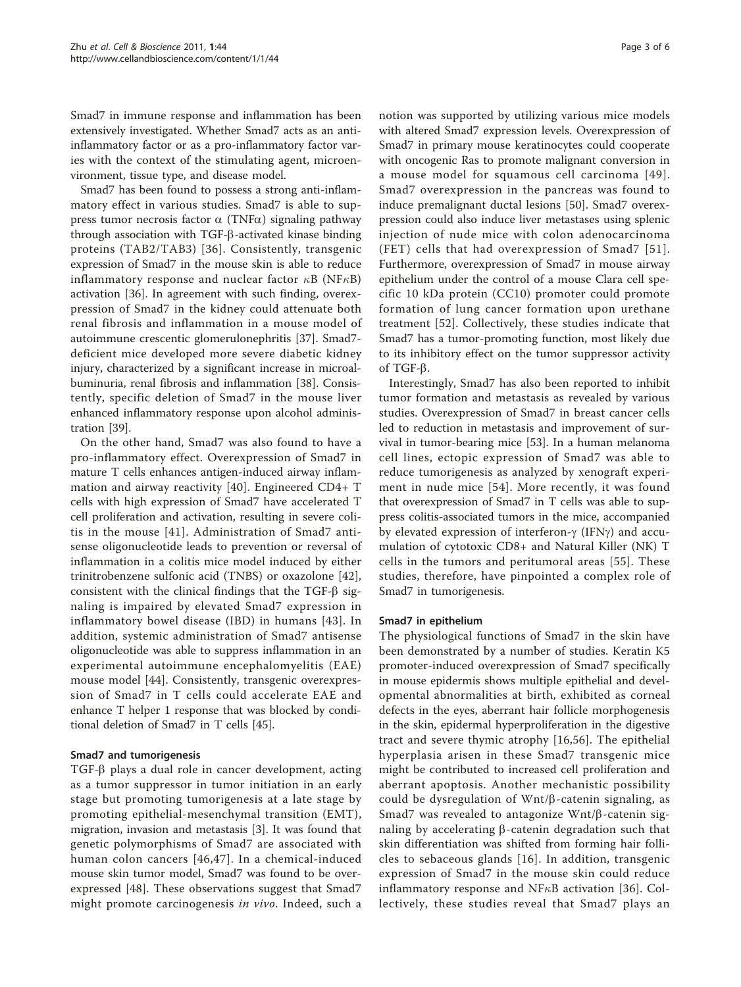Smad7 in immune response and inflammation has been extensively investigated. Whether Smad7 acts as an antiinflammatory factor or as a pro-inflammatory factor varies with the context of the stimulating agent, microenvironment, tissue type, and disease model.

Smad7 has been found to possess a strong anti-inflammatory effect in various studies. Smad7 is able to suppress tumor necrosis factor  $\alpha$  (TNF $\alpha$ ) signaling pathway through association with TGF-b-activated kinase binding proteins (TAB2/TAB3) [[36\]](#page-5-0). Consistently, transgenic expression of Smad7 in the mouse skin is able to reduce inflammatory response and nuclear factor  $\kappa$ B (NF $\kappa$ B) activation [[36](#page-5-0)]. In agreement with such finding, overexpression of Smad7 in the kidney could attenuate both renal fibrosis and inflammation in a mouse model of autoimmune crescentic glomerulonephritis [[37\]](#page-5-0). Smad7 deficient mice developed more severe diabetic kidney injury, characterized by a significant increase in microalbuminuria, renal fibrosis and inflammation [\[38\]](#page-5-0). Consistently, specific deletion of Smad7 in the mouse liver enhanced inflammatory response upon alcohol administration [\[39](#page-5-0)].

On the other hand, Smad7 was also found to have a pro-inflammatory effect. Overexpression of Smad7 in mature T cells enhances antigen-induced airway inflammation and airway reactivity [\[40\]](#page-5-0). Engineered CD4+ T cells with high expression of Smad7 have accelerated T cell proliferation and activation, resulting in severe colitis in the mouse [[41\]](#page-5-0). Administration of Smad7 antisense oligonucleotide leads to prevention or reversal of inflammation in a colitis mice model induced by either trinitrobenzene sulfonic acid (TNBS) or oxazolone [\[42](#page-5-0)], consistent with the clinical findings that the  $TGF- $\beta$  sig$ naling is impaired by elevated Smad7 expression in inflammatory bowel disease (IBD) in humans [[43](#page-5-0)]. In addition, systemic administration of Smad7 antisense oligonucleotide was able to suppress inflammation in an experimental autoimmune encephalomyelitis (EAE) mouse model [[44\]](#page-5-0). Consistently, transgenic overexpression of Smad7 in T cells could accelerate EAE and enhance T helper 1 response that was blocked by conditional deletion of Smad7 in T cells [[45\]](#page-5-0).

# Smad7 and tumorigenesis

 $TGF- $\beta$  plays a dual role in cancer development, acting$ as a tumor suppressor in tumor initiation in an early stage but promoting tumorigenesis at a late stage by promoting epithelial-mesenchymal transition (EMT), migration, invasion and metastasis [[3\]](#page-4-0). It was found that genetic polymorphisms of Smad7 are associated with human colon cancers [[46](#page-5-0),[47](#page-5-0)]. In a chemical-induced mouse skin tumor model, Smad7 was found to be overexpressed [\[48](#page-5-0)]. These observations suggest that Smad7 might promote carcinogenesis in vivo. Indeed, such a notion was supported by utilizing various mice models with altered Smad7 expression levels. Overexpression of Smad7 in primary mouse keratinocytes could cooperate with oncogenic Ras to promote malignant conversion in a mouse model for squamous cell carcinoma [[49\]](#page-5-0). Smad7 overexpression in the pancreas was found to induce premalignant ductal lesions [[50](#page-5-0)]. Smad7 overexpression could also induce liver metastases using splenic injection of nude mice with colon adenocarcinoma (FET) cells that had overexpression of Smad7 [[51\]](#page-5-0). Furthermore, overexpression of Smad7 in mouse airway epithelium under the control of a mouse Clara cell specific 10 kDa protein (CC10) promoter could promote formation of lung cancer formation upon urethane treatment [[52](#page-5-0)]. Collectively, these studies indicate that Smad7 has a tumor-promoting function, most likely due to its inhibitory effect on the tumor suppressor activity of TGF-b.

Interestingly, Smad7 has also been reported to inhibit tumor formation and metastasis as revealed by various studies. Overexpression of Smad7 in breast cancer cells led to reduction in metastasis and improvement of survival in tumor-bearing mice [\[53\]](#page-5-0). In a human melanoma cell lines, ectopic expression of Smad7 was able to reduce tumorigenesis as analyzed by xenograft experiment in nude mice [[54](#page-5-0)]. More recently, it was found that overexpression of Smad7 in T cells was able to suppress colitis-associated tumors in the mice, accompanied by elevated expression of interferon- $\gamma$  (IFN $\gamma$ ) and accumulation of cytotoxic CD8+ and Natural Killer (NK) T cells in the tumors and peritumoral areas [[55\]](#page-5-0). These studies, therefore, have pinpointed a complex role of Smad7 in tumorigenesis.

## Smad7 in epithelium

The physiological functions of Smad7 in the skin have been demonstrated by a number of studies. Keratin K5 promoter-induced overexpression of Smad7 specifically in mouse epidermis shows multiple epithelial and developmental abnormalities at birth, exhibited as corneal defects in the eyes, aberrant hair follicle morphogenesis in the skin, epidermal hyperproliferation in the digestive tract and severe thymic atrophy [[16](#page-4-0),[56\]](#page-5-0). The epithelial hyperplasia arisen in these Smad7 transgenic mice might be contributed to increased cell proliferation and aberrant apoptosis. Another mechanistic possibility could be dysregulation of  $Wnt/\beta$ -catenin signaling, as Smad7 was revealed to antagonize  $Wnt/\beta$ -catenin signaling by accelerating  $\beta$ -catenin degradation such that skin differentiation was shifted from forming hair follicles to sebaceous glands [[16](#page-4-0)]. In addition, transgenic expression of Smad7 in the mouse skin could reduce inflammatory response and NF $\kappa$ B activation [[36](#page-5-0)]. Collectively, these studies reveal that Smad7 plays an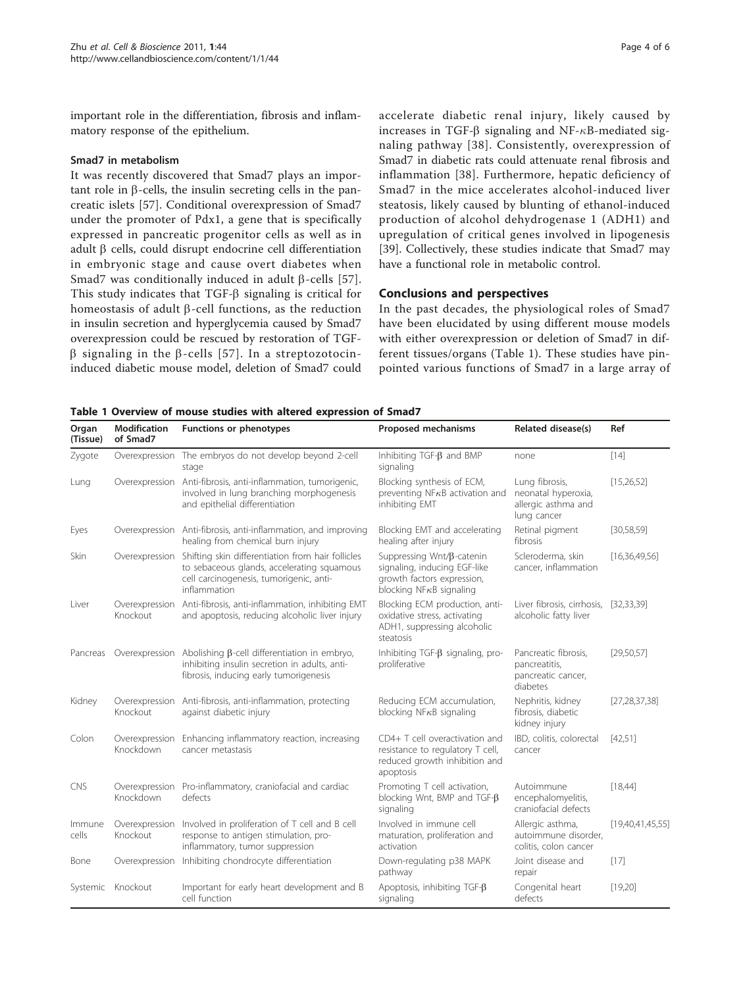<span id="page-3-0"></span>important role in the differentiation, fibrosis and inflammatory response of the epithelium.

### Smad7 in metabolism

It was recently discovered that Smad7 plays an important role in  $\beta$ -cells, the insulin secreting cells in the pancreatic islets [[57\]](#page-5-0). Conditional overexpression of Smad7 under the promoter of Pdx1, a gene that is specifically expressed in pancreatic progenitor cells as well as in adult  $\beta$  cells, could disrupt endocrine cell differentiation in embryonic stage and cause overt diabetes when Smad7 was conditionally induced in adult  $\beta$ -cells [[57](#page-5-0)]. This study indicates that  $TGF- $\beta$  signaling is critical for$ homeostasis of adult  $\beta$ -cell functions, as the reduction in insulin secretion and hyperglycemia caused by Smad7 overexpression could be rescued by restoration of TGF- $\beta$  signaling in the  $\beta$ -cells [[57\]](#page-5-0). In a streptozotocininduced diabetic mouse model, deletion of Smad7 could accelerate diabetic renal injury, likely caused by increases in TGF- $\beta$  signaling and NF- $\kappa$ B-mediated signaling pathway [[38\]](#page-5-0). Consistently, overexpression of Smad7 in diabetic rats could attenuate renal fibrosis and inflammation [[38\]](#page-5-0). Furthermore, hepatic deficiency of Smad7 in the mice accelerates alcohol-induced liver steatosis, likely caused by blunting of ethanol-induced production of alcohol dehydrogenase 1 (ADH1) and upregulation of critical genes involved in lipogenesis [[39\]](#page-5-0). Collectively, these studies indicate that Smad7 may have a functional role in metabolic control.

# Conclusions and perspectives

In the past decades, the physiological roles of Smad7 have been elucidated by using different mouse models with either overexpression or deletion of Smad7 in different tissues/organs (Table 1). These studies have pinpointed various functions of Smad7 in a large array of

Table 1 Overview of mouse studies with altered expression of Smad7

| Organ<br>(Tissue) | <b>Modification</b><br>of Smad7 | Functions or phenotypes                                                                                                                                                   | Proposed mechanisms                                                                                                         | Related disease(s)                                                          | Ref              |
|-------------------|---------------------------------|---------------------------------------------------------------------------------------------------------------------------------------------------------------------------|-----------------------------------------------------------------------------------------------------------------------------|-----------------------------------------------------------------------------|------------------|
| Zygote            |                                 | Overexpression The embryos do not develop beyond 2-cell<br>stage                                                                                                          | Inhibiting TGF- $\beta$ and BMP<br>signaling                                                                                | none                                                                        | $[14]$           |
| Lung              |                                 | Overexpression Anti-fibrosis, anti-inflammation, tumorigenic,<br>involved in lung branching morphogenesis<br>and epithelial differentiation                               | Blocking synthesis of ECM,<br>preventing NF <sub>K</sub> B activation and<br>inhibiting EMT                                 | Lung fibrosis,<br>neonatal hyperoxia,<br>allergic asthma and<br>lung cancer | [15, 26, 52]     |
| Eyes              |                                 | Overexpression Anti-fibrosis, anti-inflammation, and improving<br>healing from chemical burn injury                                                                       | Blocking EMT and accelerating<br>healing after injury                                                                       | Retinal pigment<br>fibrosis                                                 | [30, 58, 59]     |
| Skin              |                                 | Overexpression Shifting skin differentiation from hair follicles<br>to sebaceous glands, accelerating squamous<br>cell carcinogenesis, tumorigenic, anti-<br>inflammation | Suppressing Wnt/B-catenin<br>signaling, inducing EGF-like<br>growth factors expression,<br>blocking NF $\kappa$ B signaling | Scleroderma, skin<br>cancer, inflammation                                   | [16,36,49,56]    |
| Liver             | Knockout                        | Overexpression Anti-fibrosis, anti-inflammation, inhibiting EMT<br>and apoptosis, reducing alcoholic liver injury                                                         | Blocking ECM production, anti-<br>oxidative stress, activating<br>ADH1, suppressing alcoholic<br>steatosis                  | Liver fibrosis, cirrhosis, [32,33,39]<br>alcoholic fatty liver              |                  |
| Pancreas          |                                 | Overexpression Abolishing $\beta$ -cell differentiation in embryo,<br>inhibiting insulin secretion in adults, anti-<br>fibrosis, inducing early tumorigenesis             | Inhibiting TGF- $\beta$ signaling, pro-<br>proliferative                                                                    | Pancreatic fibrosis,<br>pancreatitis,<br>pancreatic cancer,<br>diabetes     | [29,50,57]       |
| Kidney            | Knockout                        | Overexpression Anti-fibrosis, anti-inflammation, protecting<br>against diabetic injury                                                                                    | Reducing ECM accumulation,<br>blocking NF $\kappa$ B signaling                                                              | Nephritis, kidney<br>fibrosis, diabetic<br>kidney injury                    | [27, 28, 37, 38] |
| Colon             | Knockdown                       | Overexpression Enhancing inflammatory reaction, increasing<br>cancer metastasis                                                                                           | CD4+ T cell overactivation and<br>resistance to regulatory T cell,<br>reduced growth inhibition and<br>apoptosis            | IBD, colitis, colorectal<br>cancer                                          | [42,51]          |
| <b>CNS</b>        | Knockdown                       | Overexpression Pro-inflammatory, craniofacial and cardiac<br>defects                                                                                                      | Promoting T cell activation,<br>blocking Wnt, BMP and TGF- $\beta$<br>signaling                                             | Autoimmune<br>encephalomyelitis,<br>craniofacial defects                    | [18,44]          |
| Immune<br>cells   | Overexpression<br>Knockout      | Involved in proliferation of T cell and B cell<br>response to antigen stimulation, pro-<br>inflammatory, tumor suppression                                                | Involved in immune cell<br>maturation, proliferation and<br>activation                                                      | Allergic asthma,<br>autoimmune disorder,<br>colitis, colon cancer           | [19,40,41,45,55] |
| Bone              |                                 | Overexpression Inhibiting chondrocyte differentiation                                                                                                                     | Down-regulating p38 MAPK<br>pathway                                                                                         | Joint disease and<br>repair                                                 | $[17]$           |
| Systemic          | Knockout                        | Important for early heart development and B<br>cell function                                                                                                              | Apoptosis, inhibiting TGF-B<br>signaling                                                                                    | Congenital heart<br>defects                                                 | [19,20]          |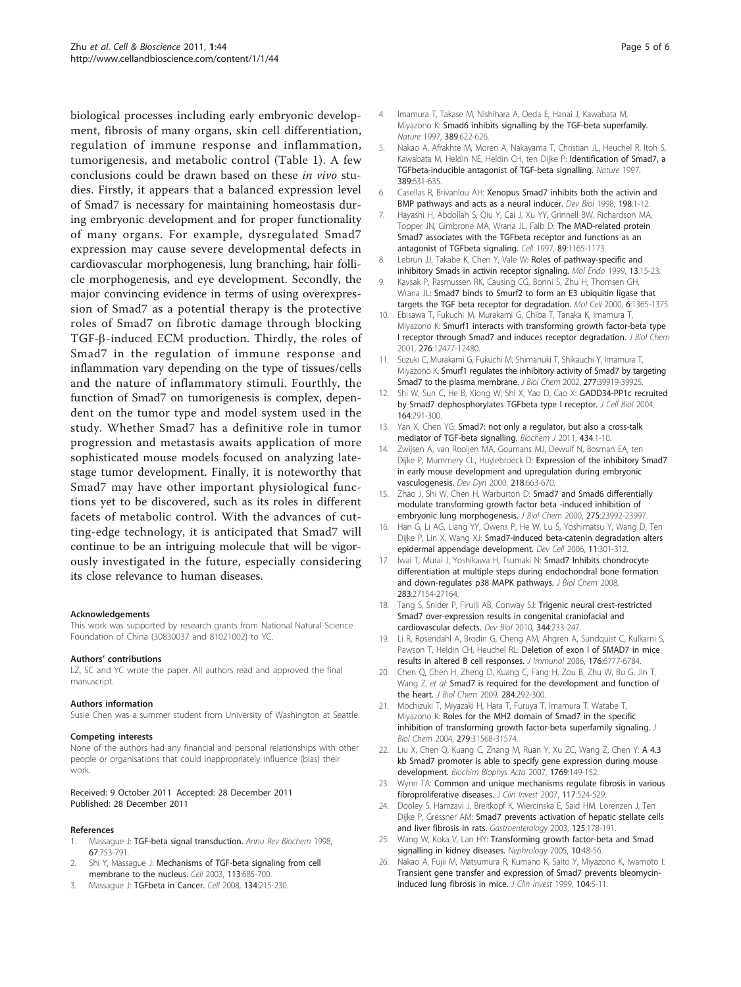<span id="page-4-0"></span>biological processes including early embryonic development, fibrosis of many organs, skin cell differentiation, regulation of immune response and inflammation, tumorigenesis, and metabolic control (Table [1](#page-3-0)). A few conclusions could be drawn based on these in vivo studies. Firstly, it appears that a balanced expression level of Smad7 is necessary for maintaining homeostasis during embryonic development and for proper functionality of many organs. For example, dysregulated Smad7 expression may cause severe developmental defects in cardiovascular morphogenesis, lung branching, hair follicle morphogenesis, and eye development. Secondly, the major convincing evidence in terms of using overexpression of Smad7 as a potential therapy is the protective roles of Smad7 on fibrotic damage through blocking TGF-b-induced ECM production. Thirdly, the roles of Smad7 in the regulation of immune response and inflammation vary depending on the type of tissues/cells and the nature of inflammatory stimuli. Fourthly, the function of Smad7 on tumorigenesis is complex, dependent on the tumor type and model system used in the study. Whether Smad7 has a definitive role in tumor progression and metastasis awaits application of more sophisticated mouse models focused on analyzing latestage tumor development. Finally, it is noteworthy that Smad7 may have other important physiological functions yet to be discovered, such as its roles in different facets of metabolic control. With the advances of cutting-edge technology, it is anticipated that Smad7 will continue to be an intriguing molecule that will be vigorously investigated in the future, especially considering its close relevance to human diseases.

#### Acknowledgements

This work was supported by research grants from National Natural Science Foundation of China (30830037 and 81021002) to YC.

#### Authors' contributions

LZ, SC and YC wrote the paper. All authors read and approved the final manuscript.

#### Authors information

Susie Chen was a summer student from University of Washington at Seattle.

#### Competing interests

None of the authors had any financial and personal relationships with other people or organisations that could inappropriately influence (bias) their work.

#### Received: 9 October 2011 Accepted: 28 December 2011 Published: 28 December 2011

#### References

- Massague J: [TGF-beta signal transduction.](http://www.ncbi.nlm.nih.gov/pubmed/9759503?dopt=Abstract) Annu Rev Biochem 1998, 67:753-791.
- 2. Shi Y, Massague J: [Mechanisms of TGF-beta signaling from cell](http://www.ncbi.nlm.nih.gov/pubmed/12809600?dopt=Abstract) [membrane to the nucleus.](http://www.ncbi.nlm.nih.gov/pubmed/12809600?dopt=Abstract) Cell 2003, 113:685-700.
- 3. Massague J: [TGFbeta in Cancer.](http://www.ncbi.nlm.nih.gov/pubmed/18662538?dopt=Abstract) Cell 2008, 134:215-230.
- 4. Imamura T, Takase M, Nishihara A, Oeda E, Hanai J, Kawabata M, Miyazono K: [Smad6 inhibits signalling by the TGF-beta superfamily.](http://www.ncbi.nlm.nih.gov/pubmed/9335505?dopt=Abstract) Nature 1997, 389:622-626.
- 5. Nakao A, Afrakhte M, Moren A, Nakayama T, Christian JL, Heuchel R, Itoh S, Kawabata M, Heldin NE, Heldin CH, ten Dijke P: [Identification of Smad7, a](http://www.ncbi.nlm.nih.gov/pubmed/9335507?dopt=Abstract) [TGFbeta-inducible antagonist of TGF-beta signalling.](http://www.ncbi.nlm.nih.gov/pubmed/9335507?dopt=Abstract) Nature 1997, 389:631-635.
- 6. Casellas R, Brivanlou AH: [Xenopus Smad7 inhibits both the activin and](http://www.ncbi.nlm.nih.gov/pubmed/9640328?dopt=Abstract) [BMP pathways and acts as a neural inducer.](http://www.ncbi.nlm.nih.gov/pubmed/9640328?dopt=Abstract) Dev Biol 1998, 198:1-12.
- 7. Hayashi H, Abdollah S, Qiu Y, Cai J, Xu YY, Grinnell BW, Richardson MA, Topper JN, Gimbrone MA, Wrana JL, Falb D: [The MAD-related protein](http://www.ncbi.nlm.nih.gov/pubmed/9215638?dopt=Abstract) [Smad7 associates with the TGFbeta receptor and functions as an](http://www.ncbi.nlm.nih.gov/pubmed/9215638?dopt=Abstract) [antagonist of TGFbeta signaling.](http://www.ncbi.nlm.nih.gov/pubmed/9215638?dopt=Abstract) Cell 1997, 89:1165-1173.
- Lebrun JJ, Takabe K, Chen Y, Vale W: Roles of pathway-specific and inhibitory Smads in activin receptor signaling. Mol Endo 1999, 13:15-23.
- Kavsak P, Rasmussen RK, Causing CG, Bonni S, Zhu H, Thomsen GH, Wrana JL: [Smad7 binds to Smurf2 to form an E3 ubiquitin ligase that](http://www.ncbi.nlm.nih.gov/pubmed/11163210?dopt=Abstract) [targets the TGF beta receptor for degradation.](http://www.ncbi.nlm.nih.gov/pubmed/11163210?dopt=Abstract) Mol Cell 2000, 6:1365-1375.
- 10. Ebisawa T, Fukuchi M, Murakami G, Chiba T, Tanaka K, Imamura T, Miyazono K: [Smurf1 interacts with transforming growth factor-beta type](http://www.ncbi.nlm.nih.gov/pubmed/11278251?dopt=Abstract) [I receptor through Smad7 and induces receptor degradation.](http://www.ncbi.nlm.nih.gov/pubmed/11278251?dopt=Abstract) J Biol Chem 2001, 276:12477-12480.
- 11. Suzuki C, Murakami G, Fukuchi M, Shimanuki T, Shikauchi Y, Imamura T, Miyazono K: [Smurf1 regulates the inhibitory activity of Smad7 by targeting](http://www.ncbi.nlm.nih.gov/pubmed/12151385?dopt=Abstract) [Smad7 to the plasma membrane.](http://www.ncbi.nlm.nih.gov/pubmed/12151385?dopt=Abstract) J Biol Chem 2002, 277:39919-39925.
- 12. Shi W, Sun C, He B, Xiong W, Shi X, Yao D, Cao X: [GADD34-PP1c recruited](http://www.ncbi.nlm.nih.gov/pubmed/14718519?dopt=Abstract) [by Smad7 dephosphorylates TGFbeta type I receptor.](http://www.ncbi.nlm.nih.gov/pubmed/14718519?dopt=Abstract) J Cell Biol 2004, 164:291-300.
- 13. Yan X, Chen YG: [Smad7: not only a regulator, but also a cross-talk](http://www.ncbi.nlm.nih.gov/pubmed/21269274?dopt=Abstract) [mediator of TGF-beta signalling.](http://www.ncbi.nlm.nih.gov/pubmed/21269274?dopt=Abstract) Biochem J 2011, 434:1-10.
- 14. Zwijsen A, van Rooijen MA, Goumans MJ, Dewulf N, Bosman EA, ten Dijke P, Mummery CL, Huylebroeck D: [Expression of the inhibitory Smad7](http://www.ncbi.nlm.nih.gov/pubmed/10906784?dopt=Abstract) [in early mouse development and upregulation during embryonic](http://www.ncbi.nlm.nih.gov/pubmed/10906784?dopt=Abstract) [vasculogenesis.](http://www.ncbi.nlm.nih.gov/pubmed/10906784?dopt=Abstract) Dev Dyn 2000, 218:663-670.
- 15. Zhao J, Shi W, Chen H, Warburton D: [Smad7 and Smad6 differentially](http://www.ncbi.nlm.nih.gov/pubmed/10801843?dopt=Abstract) [modulate transforming growth factor beta -induced inhibition of](http://www.ncbi.nlm.nih.gov/pubmed/10801843?dopt=Abstract) [embryonic lung morphogenesis.](http://www.ncbi.nlm.nih.gov/pubmed/10801843?dopt=Abstract) J Biol Chem 2000, 275:23992-23997.
- 16. Han G, Li AG, Liang YY, Owens P, He W, Lu S, Yoshimatsu Y, Wang D, Ten Dijke P, Lin X, Wang XJ: [Smad7-induced beta-catenin degradation alters](http://www.ncbi.nlm.nih.gov/pubmed/16950122?dopt=Abstract) [epidermal appendage development.](http://www.ncbi.nlm.nih.gov/pubmed/16950122?dopt=Abstract) Dev Cell 2006, 11:301-312.
- 17. Iwai T, Murai J, Yoshikawa H, Tsumaki N: [Smad7 Inhibits chondrocyte](http://www.ncbi.nlm.nih.gov/pubmed/18644788?dopt=Abstract) [differentiation at multiple steps during endochondral bone formation](http://www.ncbi.nlm.nih.gov/pubmed/18644788?dopt=Abstract) [and down-regulates p38 MAPK pathways.](http://www.ncbi.nlm.nih.gov/pubmed/18644788?dopt=Abstract) J Biol Chem 2008, 283:27154-27164.
- 18. Tang S, Snider P, Firulli AB, Conway SJ: [Trigenic neural crest-restricted](http://www.ncbi.nlm.nih.gov/pubmed/20457144?dopt=Abstract) [Smad7 over-expression results in congenital craniofacial and](http://www.ncbi.nlm.nih.gov/pubmed/20457144?dopt=Abstract) [cardiovascular defects.](http://www.ncbi.nlm.nih.gov/pubmed/20457144?dopt=Abstract) Dev Biol 2010, 344:233-247.
- 19. Li R, Rosendahl A, Brodin G, Cheng AM, Ahgren A, Sundquist C, Kulkarni S, Pawson T, Heldin CH, Heuchel RL: [Deletion of exon I of SMAD7 in mice](http://www.ncbi.nlm.nih.gov/pubmed/16709837?dopt=Abstract) [results in altered B cell responses.](http://www.ncbi.nlm.nih.gov/pubmed/16709837?dopt=Abstract) J Immunol 2006, 176:6777-6784.
- 20. Chen Q, Chen H, Zheng D, Kuang C, Fang H, Zou B, Zhu W, Bu G, Jin T, Wang Z, et al: [Smad7 is required for the development and function of](http://www.ncbi.nlm.nih.gov/pubmed/18952608?dopt=Abstract) [the heart.](http://www.ncbi.nlm.nih.gov/pubmed/18952608?dopt=Abstract) J Biol Chem 2009, 284:292-300.
- 21. Mochizuki T, Miyazaki H, Hara T, Furuya T, Imamura T, Watabe T, Miyazono K: [Roles for the MH2 domain of Smad7 in the specific](http://www.ncbi.nlm.nih.gov/pubmed/15148321?dopt=Abstract) [inhibition of transforming growth factor-beta superfamily signaling.](http://www.ncbi.nlm.nih.gov/pubmed/15148321?dopt=Abstract) J Biol Chem 2004, 279:31568-31574.
- 22. Liu X, Chen Q, Kuang C, Zhang M, Ruan Y, Xu ZC, Wang Z, Chen Y: [A 4.3](http://www.ncbi.nlm.nih.gov/pubmed/17306381?dopt=Abstract) [kb Smad7 promoter is able to specify gene expression during mouse](http://www.ncbi.nlm.nih.gov/pubmed/17306381?dopt=Abstract) [development.](http://www.ncbi.nlm.nih.gov/pubmed/17306381?dopt=Abstract) Biochim Biophys Acta 2007, 1769:149-152.
- 23. Wynn TA: [Common and unique mechanisms regulate fibrosis in various](http://www.ncbi.nlm.nih.gov/pubmed/17332879?dopt=Abstract) [fibroproliferative diseases.](http://www.ncbi.nlm.nih.gov/pubmed/17332879?dopt=Abstract) J Clin Invest 2007, 117:524-529.
- 24. Dooley S, Hamzavi J, Breitkopf K, Wiercinska E, Said HM, Lorenzen J, Ten Dijke P, Gressner AM: [Smad7 prevents activation of hepatic stellate cells](http://www.ncbi.nlm.nih.gov/pubmed/12851882?dopt=Abstract) [and liver fibrosis in rats.](http://www.ncbi.nlm.nih.gov/pubmed/12851882?dopt=Abstract) Gastroenterology 2003, 125:178-191.
- 25. Wang W, Koka V, Lan HY: [Transforming growth factor-beta and Smad](http://www.ncbi.nlm.nih.gov/pubmed/15705182?dopt=Abstract) [signalling in kidney diseases.](http://www.ncbi.nlm.nih.gov/pubmed/15705182?dopt=Abstract) Nephrology 2005, 10:48-56.
- 26. Nakao A, Fujii M, Matsumura R, Kumano K, Saito Y, Miyazono K, Iwamoto I: [Transient gene transfer and expression of Smad7 prevents bleomycin](http://www.ncbi.nlm.nih.gov/pubmed/10393693?dopt=Abstract)[induced lung fibrosis in mice.](http://www.ncbi.nlm.nih.gov/pubmed/10393693?dopt=Abstract) J Clin Invest 1999, 104:5-11.